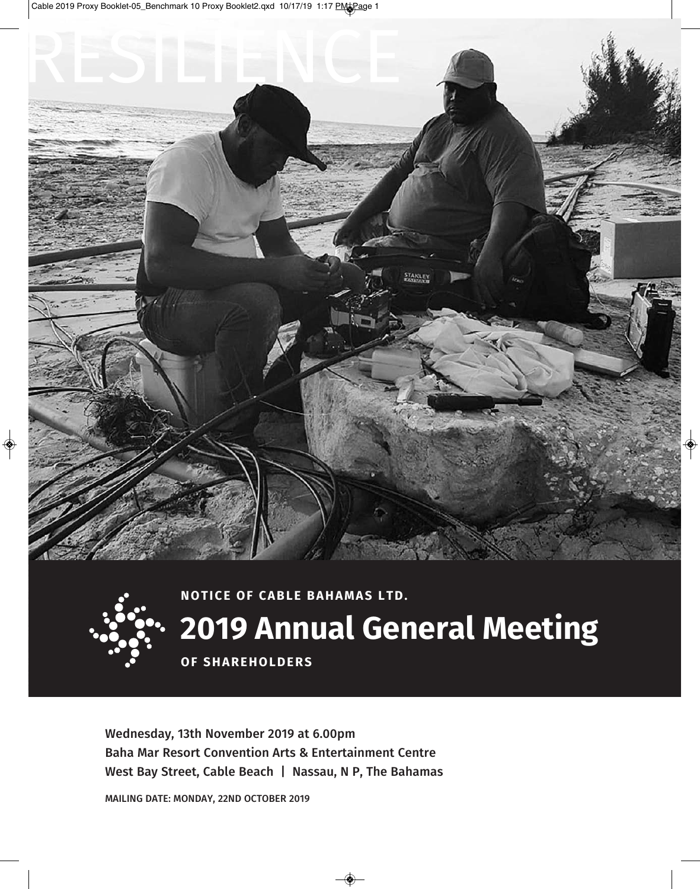



# **2019 annual General Meeting**

**OF SHAREHOLDERS** 

**Wednesday, 13th November 2019 at 6.00pm Baha Mar Resort Convention Arts & Entertainment Centre West Bay Street, Cable Beach | Nassau, N P, The Bahamas**

**MAILING DATE: MoNDAy, 22ND oCToBER 2019**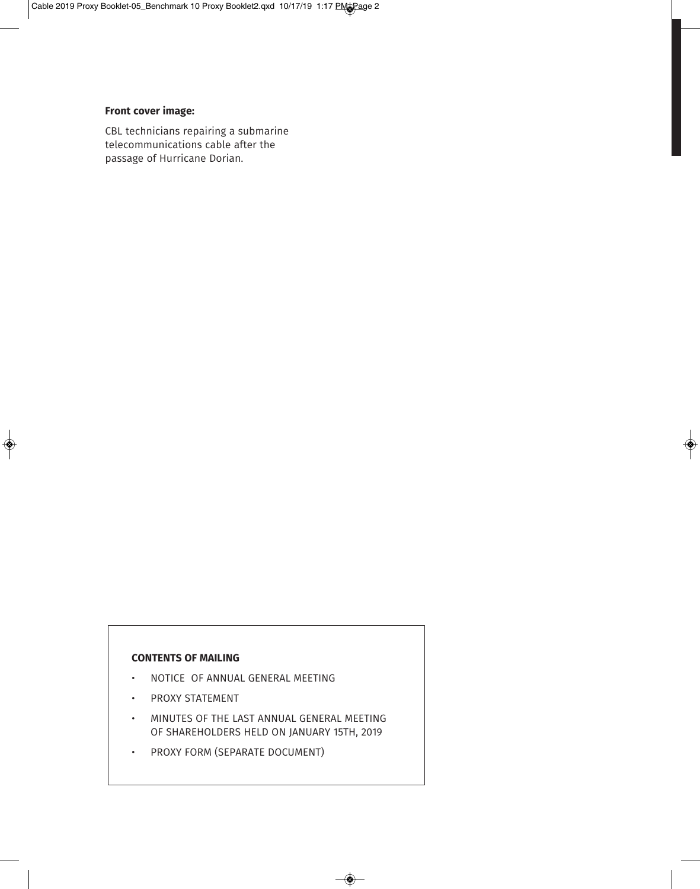# **front cover image:**

CBL technicians repairing a submarine telecommunications cable after the passage of Hurricane Dorian.

### **coNteNtS of MailiNG**

- NOTICE OF ANNUAL GENERAL MEETING
- PROXY STATEMENT
- MINUTES OF THE LAST ANNUAL GENERAL MEETING OF SHAREHOLDERS HELD ON JANUARY 15TH, 2019
- PROXY FORM (SEPARATE DOCUMENT)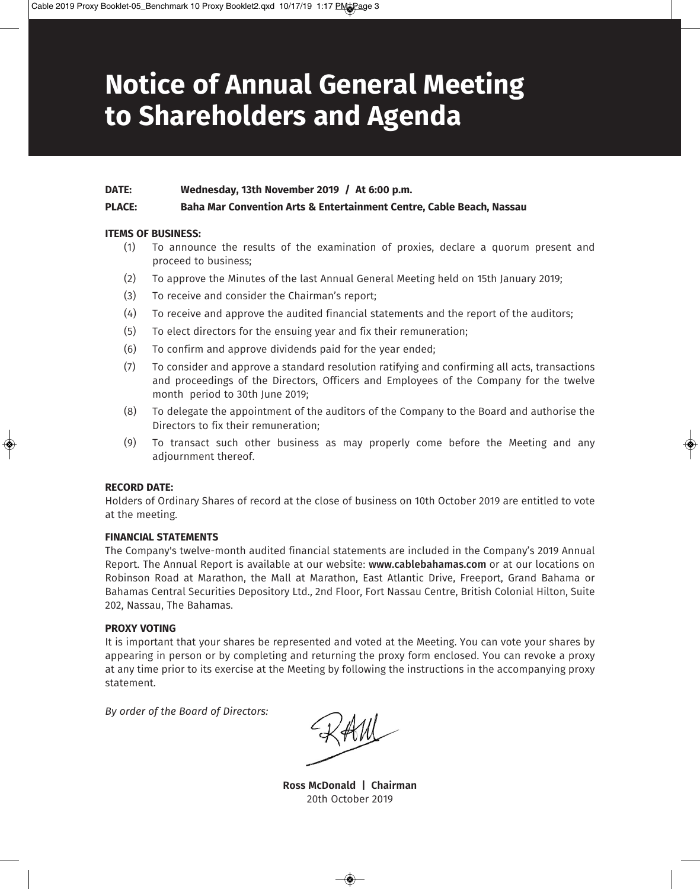# **Notice of annual General Meeting to Shareholders and agenda**

#### **date: Wednesday, 13th November 2019 / at 6:00 p.m.**

## **Place: Baha Mar convention arts & entertainment centre, cable Beach, Nassau**

#### **iteMS of BUSiNeSS:**

- (1) To announce the results of the examination of proxies, declare a quorum present and proceed to business;
- (2) To approve the Minutes of the last Annual General Meeting held on 15th January 2019;
- (3) To receive and consider the Chairman's report;
- (4) To receive and approve the audited financial statements and the report of the auditors;
- (5) To elect directors for the ensuing year and fix their remuneration;
- (6) To confirm and approve dividends paid for the year ended;
- (7) To consider and approve a standard resolution ratifying and confirming all acts, transactions and proceedings of the Directors, Officers and Employees of the Company for the twelve month period to 30th June 2019;
- (8) To delegate the appointment of the auditors of the Company to the Board and authorise the Directors to fix their remuneration;
- (9) To transact such other business as may properly come before the Meeting and any adjournment thereof.

#### **record date:**

Holders of Ordinary Shares of record at the close of business on 10th October 2019 are entitled to vote at the meeting.

#### **fiNaNcial StateMeNtS**

The Company's twelve-month audited financial statements are included in the Company's 2019 Annual Report. The Annual Report is available at our website: **www.cablebahamas.com** or at our locations on Robinson Road at Marathon, the Mall at Marathon, East Atlantic Drive, Freeport, Grand Bahama or Bahamas Central Securities Depository Ltd., 2nd Floor, Fort Nassau Centre, British Colonial Hilton, Suite 202, Nassau, The Bahamas.

#### **PROXY VOTING**

It is important that your shares be represented and voted at the Meeting. You can vote your shares by appearing in person or by completing and returning the proxy form enclosed. You can revoke a proxy at any time prior to its exercise at the Meeting by following the instructions in the accompanying proxy statement.

*By order of the Board of Directors:*

**Ross McDonald | Chairman** 20th October 2019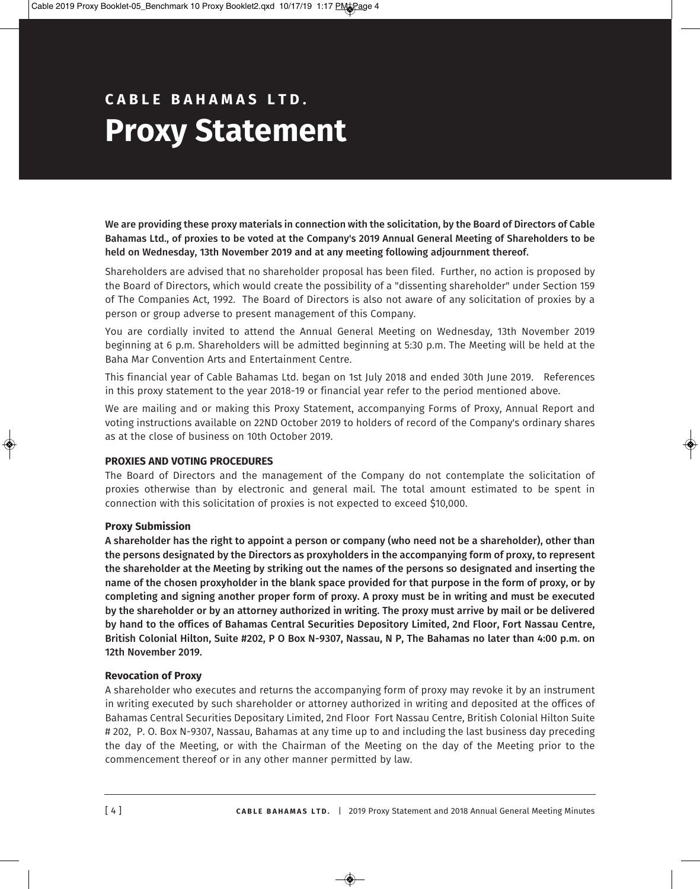# **c a B l e B a h a M a S l t d . Proxy Statement**

**We are providing these proxy materials in connection with the solicitation, by the Board of Directors of Cable Bahamas Ltd., of proxies to be voted at the Company's 2019 Annual General Meeting of Shareholders to be held on Wednesday, 13th November 2019 and at any meeting following adjournment thereof.** 

Shareholders are advised that no shareholder proposal has been filed. Further, no action is proposed by the Board of Directors, which would create the possibility of a "dissenting shareholder" under Section 159 of The Companies Act, 1992. The Board of Directors is also not aware of any solicitation of proxies by a person or group adverse to present management of this Company.

You are cordially invited to attend the Annual General Meeting on Wednesday, 13th November 2019 beginning at 6 p.m. Shareholders will be admitted beginning at 5:30 p.m. The Meeting will be held at the Baha Mar Convention Arts and Entertainment Centre.

This financial year of Cable Bahamas Ltd. began on 1st July 2018 and ended 30th June 2019. References in this proxy statement to the year 2018-19 or financial year refer to the period mentioned above.

We are mailing and or making this Proxy Statement, accompanying Forms of Proxy, Annual Report and voting instructions available on 22ND October 2019 to holders of record of the Company's ordinary shares as at the close of business on 10th October 2019.

# **ProXieS aNd VotiNG ProcedUreS**

The Board of Directors and the management of the Company do not contemplate the solicitation of proxies otherwise than by electronic and general mail. The total amount estimated to be spent in connection with this solicitation of proxies is not expected to exceed \$10,000.

# **Proxy Submission**

**A shareholder has the right to appoint a person or company (who need not be a shareholder), other than the persons designated by the Directors as proxyholders in the accompanying form of proxy, to represent the shareholder at the Meeting by striking out the names of the persons so designated and inserting the name of the chosen proxyholder in the blank space provided for that purpose in the form of proxy, or by completing and signing another proper form of proxy. A proxy must be in writing and must be executed by the shareholder or by an attorney authorized in writing. The proxy must arrive by mail or be delivered by hand to the offices of Bahamas Central Securities Depository Limited, 2nd Floor, Fort Nassau Centre, British Colonial Hilton, Suite #202, P o Box N-9307, Nassau, N P, The Bahamas no later than 4:00 p.m. on 12th November 2019.**

# **revocation of Proxy**

A shareholder who executes and returns the accompanying form of proxy may revoke it by an instrument in writing executed by such shareholder or attorney authorized in writing and deposited at the offices of Bahamas Central Securities Depositary Limited, 2nd Floor Fort Nassau Centre, British Colonial Hilton Suite # 202, P. O. Box N-9307, Nassau, Bahamas at any time up to and including the last business day preceding the day of the Meeting, or with the Chairman of the Meeting on the day of the Meeting prior to the commencement thereof or in any other manner permitted by law.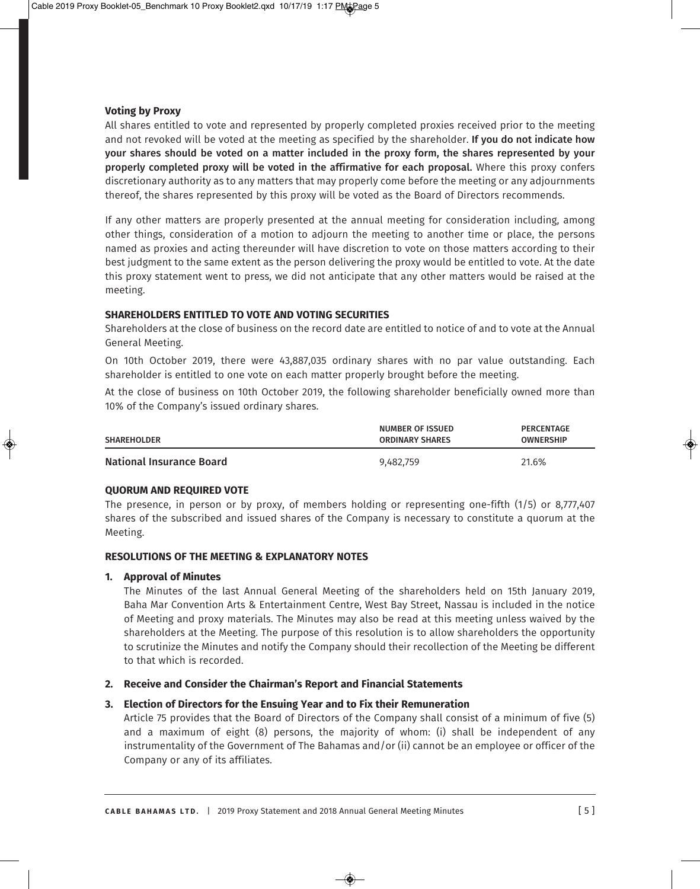# **Voting by Proxy**

All shares entitled to vote and represented by properly completed proxies received prior to the meeting and not revoked will be voted at the meeting as specified by the shareholder. **If you do not indicate how your shares should be voted on a matter included in the proxy form, the shares represented by your properly completed proxy will be voted in the affirmative for each proposal.** Where this proxy confers discretionary authority as to any matters that may properly come before the meeting or any adjournments thereof, the shares represented by this proxy will be voted as the Board of Directors recommends.

If any other matters are properly presented at the annual meeting for consideration including, among other things, consideration of a motion to adjourn the meeting to another time or place, the persons named as proxies and acting thereunder will have discretion to vote on those matters according to their best judgment to the same extent as the person delivering the proxy would be entitled to vote. At the date this proxy statement went to press, we did not anticipate that any other matters would be raised at the meeting.

# **ShareholderS eNtitled to Vote aNd VotiNG SecUritieS**

Shareholders at the close of business on the record date are entitled to notice of and to vote at the Annual General Meeting.

On 10th October 2019, there were 43,887,035 ordinary shares with no par value outstanding. Each shareholder is entitled to one vote on each matter properly brought before the meeting.

At the close of business on 10th October 2019, the following shareholder beneficially owned more than 10% of the Company's issued ordinary shares.

| <b>SHAREHOLDER</b>       | <b>NUMBER OF ISSUED</b><br><b>ORDINARY SHARES</b> | PERCENTAGE<br><b>OWNERSHIP</b> |
|--------------------------|---------------------------------------------------|--------------------------------|
| National Insurance Board | 9,482,759                                         | 21.6%                          |

# **QUorUM aNd reQUired Vote**

The presence, in person or by proxy, of members holding or representing one-fifth (1/5) or 8,777,407 shares of the subscribed and issued shares of the Company is necessary to constitute a quorum at the Meeting.

# **reSolUtioNS of the MeetiNG & eXPlaNatorY NoteS**

#### **1. approval of Minutes**

The Minutes of the last Annual General Meeting of the shareholders held on 15th January 2019, Baha Mar Convention Arts & Entertainment Centre, West Bay Street, Nassau is included in the notice of Meeting and proxy materials. The Minutes may also be read at this meeting unless waived by the shareholders at the Meeting. The purpose of this resolution is to allow shareholders the opportunity to scrutinize the Minutes and notify the Company should their recollection of the Meeting be different to that which is recorded.

# **2. receive and consider the chairman's report and financial Statements**

# **3. Election of Directors for the Ensuing Year and to Fix their Remuneration**

Article 75 provides that the Board of Directors of the Company shall consist of a minimum of five (5) and a maximum of eight (8) persons, the majority of whom: (i) shall be independent of any instrumentality of the Government of The Bahamas and/or (ii) cannot be an employee or officer of the Company or any of its affiliates.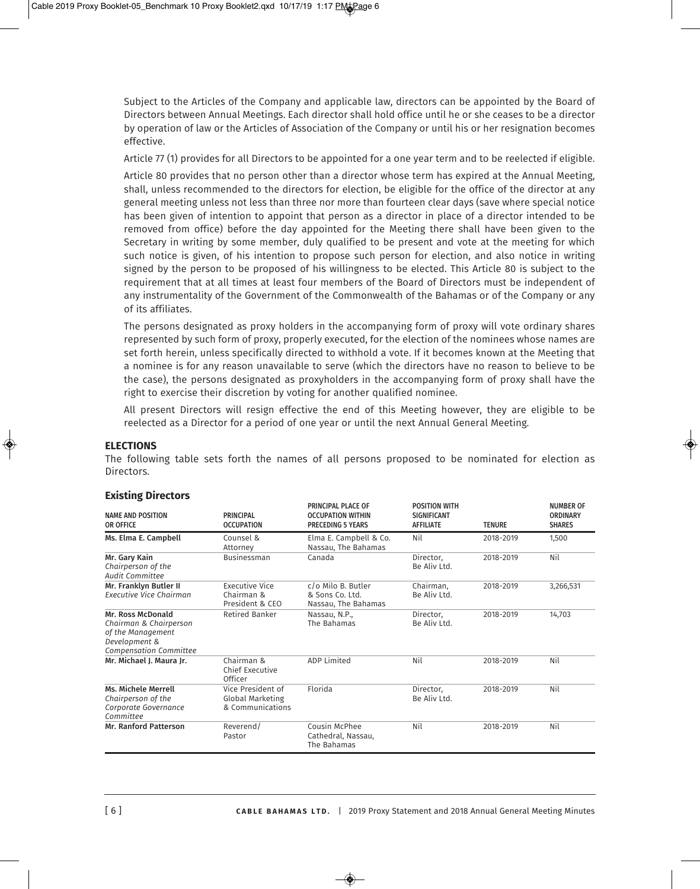Subject to the Articles of the Company and applicable law, directors can be appointed by the Board of Directors between Annual Meetings. Each director shall hold office until he or she ceases to be a director by operation of law or the Articles of Association of the Company or until his or her resignation becomes effective.

Article 77 (1) provides for all Directors to be appointed for a one year term and to be reelected if eligible.

Article 80 provides that no person other than a director whose term has expired at the Annual Meeting, shall, unless recommended to the directors for election, be eligible for the office of the director at any general meeting unless not less than three nor more than fourteen clear days (save where special notice has been given of intention to appoint that person as a director in place of a director intended to be removed from office) before the day appointed for the Meeting there shall have been given to the Secretary in writing by some member, duly qualified to be present and vote at the meeting for which such notice is given, of his intention to propose such person for election, and also notice in writing signed by the person to be proposed of his willingness to be elected. This Article 80 is subject to the requirement that at all times at least four members of the Board of Directors must be independent of any instrumentality of the Government of the Commonwealth of the Bahamas or of the Company or any of its affiliates.

The persons designated as proxy holders in the accompanying form of proxy will vote ordinary shares represented by such form of proxy, properly executed, for the election of the nominees whose names are set forth herein, unless specifically directed to withhold a vote. If it becomes known at the Meeting that a nominee is for any reason unavailable to serve (which the directors have no reason to believe to be the case), the persons designated as proxyholders in the accompanying form of proxy shall have the right to exercise their discretion by voting for another qualified nominee.

All present Directors will resign effective the end of this Meeting however, they are eligible to be reelected as a Director for a period of one year or until the next Annual General Meeting.

#### **electioNS**

The following table sets forth the names of all persons proposed to be nominated for election as Directors.

| <b>NAME AND POSITION</b><br>OR OFFICE                                                                              | <b>PRINCIPAL</b><br><b>OCCUPATION</b>                     | PRINCIPAL PLACE OF<br><b>OCCUPATION WITHIN</b><br><b>PRECEDING 5 YEARS</b> | <b>POSITION WITH</b><br><b>SIGNIFICANT</b><br><b>AFFILIATE</b> | <b>TENURE</b> | <b>NUMBER OF</b><br><b>ORDINARY</b><br><b>SHARES</b> |
|--------------------------------------------------------------------------------------------------------------------|-----------------------------------------------------------|----------------------------------------------------------------------------|----------------------------------------------------------------|---------------|------------------------------------------------------|
| Ms. Elma E. Campbell                                                                                               | Counsel &<br>Attorney                                     | Elma E. Campbell & Co.<br>Nassau, The Bahamas                              | Nil                                                            | 2018-2019     | 1,500                                                |
| Mr. Gary Kain<br>Chairperson of the<br><b>Audit Committee</b>                                                      | Businessman                                               | Canada<br>Director,<br>Be Aliv Ltd.                                        |                                                                | 2018-2019     | Nil                                                  |
| Mr. Franklyn Butler II<br>Executive Vice Chairman                                                                  | <b>Executive Vice</b><br>Chairman &<br>President & CEO    | c/o Milo B. Butler<br>& Sons Co. Ltd.<br>Nassau, The Bahamas               | Chairman,<br>Be Aliv Ltd.                                      | 2018-2019     | 3,266,531                                            |
| Mr. Ross McDonald<br>Chairman & Chairperson<br>of the Management<br>Development &<br><b>Compensation Committee</b> | Retired Banker                                            | Nassau, N.P.,<br>The Bahamas                                               | Director,<br>Be Aliv Ltd.                                      | 2018-2019     | 14,703                                               |
| Mr. Michael J. Maura Jr.                                                                                           | Chairman &<br>Chief Executive<br>Officer                  |                                                                            | Nil                                                            | 2018-2019     | Nil                                                  |
| <b>Ms. Michele Merrell</b><br>Chairperson of the<br>Corporate Governance<br>Committee                              | Vice President of<br>Global Marketing<br>& Communications |                                                                            | Director,<br>Be Aliv Ltd.                                      | 2018-2019     | Nil                                                  |
| <b>Mr. Ranford Patterson</b>                                                                                       | Reverend/<br>Pastor                                       | Cousin McPhee<br>Cathedral, Nassau,<br>The Bahamas                         | Nil                                                            | 2018-2019     | Nil                                                  |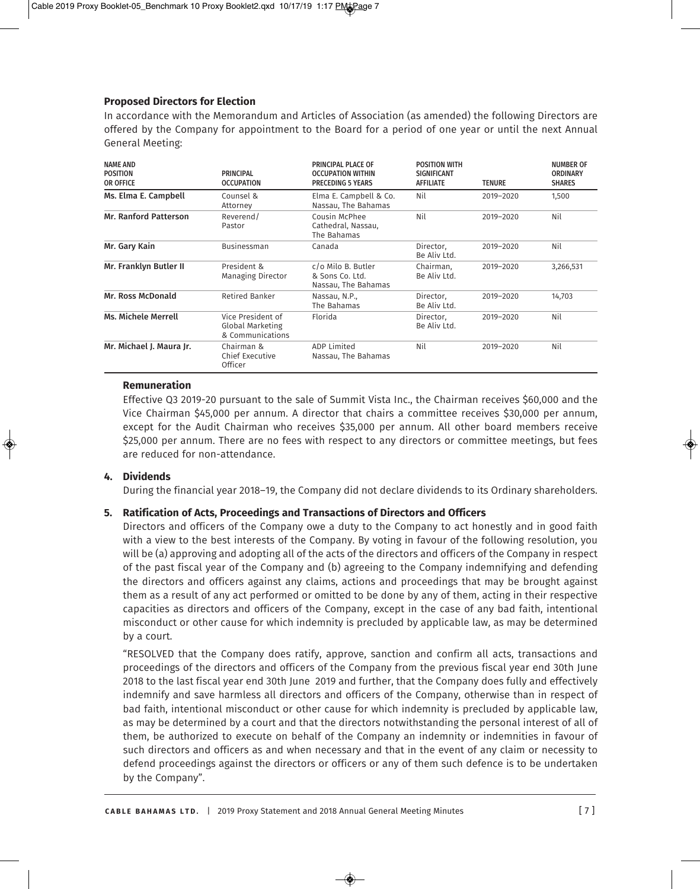# **Proposed directors for election**

In accordance with the Memorandum and Articles of Association (as amended) the following Directors are offered by the Company for appointment to the Board for a period of one year or until the next Annual General Meeting:

| <b>NAME AND</b><br><b>POSITION</b><br>OR OFFICE | <b>PRINCIPAL</b><br><b>OCCUPATION</b>                     | PRINCIPAL PLACE OF<br><b>OCCUPATION WITHIN</b><br><b>PRECEDING 5 YEARS</b> | <b>POSITION WITH</b><br><b>SIGNIFICANT</b><br><b>AFFILIATE</b> | <b>TENURE</b> | <b>NUMBER OF</b><br><b>ORDINARY</b><br><b>SHARES</b> |
|-------------------------------------------------|-----------------------------------------------------------|----------------------------------------------------------------------------|----------------------------------------------------------------|---------------|------------------------------------------------------|
| Ms. Elma E. Campbell                            | Counsel &<br>Attorney                                     | Elma E. Campbell & Co.<br>Nassau, The Bahamas                              | Nil                                                            | 2019-2020     | 1,500                                                |
| <b>Mr. Ranford Patterson</b>                    | Reverend/<br>Pastor                                       | Cousin McPhee<br>Cathedral, Nassau,<br>The Bahamas                         | Nil                                                            | 2019-2020     | Nil                                                  |
| Mr. Gary Kain                                   | <b>Businessman</b>                                        | Canada                                                                     | Director.<br>Be Aliv Ltd.                                      | 2019-2020     | Nil                                                  |
| Mr. Franklyn Butler II                          | President &<br><b>Managing Director</b>                   | c/o Milo B. Butler<br>& Sons Co. Ltd.<br>Nassau, The Bahamas               | Chairman,<br>Be Aliv Ltd.                                      | 2019-2020     | 3,266,531                                            |
| Mr. Ross McDonald                               | <b>Retired Banker</b>                                     | Nassau, N.P.,<br>The Bahamas                                               | Director,<br>Be Aliv Ltd.                                      | 2019-2020     | 14,703                                               |
| <b>Ms. Michele Merrell</b>                      | Vice President of<br>Global Marketing<br>& Communications | Florida                                                                    | Director,<br>Be Aliv Ltd.                                      | 2019-2020     | Nil                                                  |
| Mr. Michael J. Maura Jr.                        | Chairman &<br><b>Chief Executive</b><br>Officer           | <b>ADP Limited</b><br>Nassau, The Bahamas                                  | Nil                                                            | 2019-2020     | Nil                                                  |

## **remuneration**

Effective Q3 2019-20 pursuant to the sale of Summit Vista Inc., the Chairman receives \$60,000 and the Vice Chairman \$45,000 per annum. A director that chairs a committee receives \$30,000 per annum, except for the Audit Chairman who receives \$35,000 per annum. All other board members receive \$25,000 per annum. There are no fees with respect to any directors or committee meetings, but fees are reduced for non-attendance.

# **4. dividends**

During the financial year 2018–19, the Company did not declare dividends to its Ordinary shareholders.

# **5. ratification of acts, Proceedings and transactions of directors and officers**

Directors and officers of the Company owe a duty to the Company to act honestly and in good faith with a view to the best interests of the Company. By voting in favour of the following resolution, you will be (a) approving and adopting all of the acts of the directors and officers of the Company in respect of the past fiscal year of the Company and (b) agreeing to the Company indemnifying and defending the directors and officers against any claims, actions and proceedings that may be brought against them as a result of any act performed or omitted to be done by any of them, acting in their respective capacities as directors and officers of the Company, except in the case of any bad faith, intentional misconduct or other cause for which indemnity is precluded by applicable law, as may be determined by a court.

"RESOLVED that the Company does ratify, approve, sanction and confirm all acts, transactions and proceedings of the directors and officers of the Company from the previous fiscal year end 30th June 2018 to the last fiscal year end 30th June 2019 and further, that the Company does fully and effectively indemnify and save harmless all directors and officers of the Company, otherwise than in respect of bad faith, intentional misconduct or other cause for which indemnity is precluded by applicable law, as may be determined by a court and that the directors notwithstanding the personal interest of all of them, be authorized to execute on behalf of the Company an indemnity or indemnities in favour of such directors and officers as and when necessary and that in the event of any claim or necessity to defend proceedings against the directors or officers or any of them such defence is to be undertaken by the Company".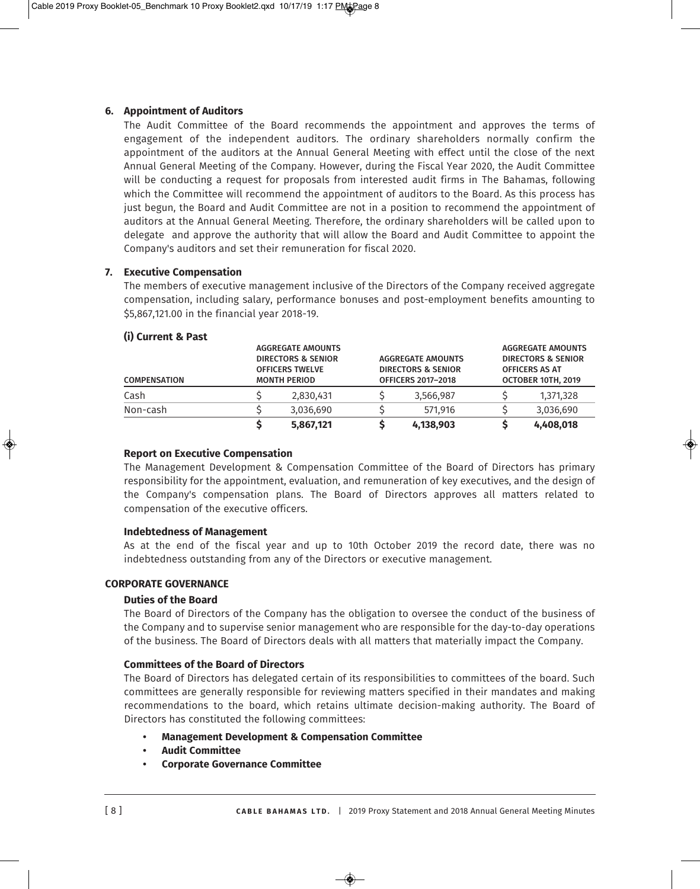# **6. appointment of auditors**

The Audit Committee of the Board recommends the appointment and approves the terms of engagement of the independent auditors. The ordinary shareholders normally confirm the appointment of the auditors at the Annual General Meeting with effect until the close of the next Annual General Meeting of the Company. However, during the Fiscal Year 2020, the Audit Committee will be conducting a request for proposals from interested audit firms in The Bahamas, following which the Committee will recommend the appointment of auditors to the Board. As this process has just begun, the Board and Audit Committee are not in a position to recommend the appointment of auditors at the Annual General Meeting. Therefore, the ordinary shareholders will be called upon to delegate and approve the authority that will allow the Board and Audit Committee to appoint the Company's auditors and set their remuneration for fiscal 2020.

# **7. executive compensation**

The members of executive management inclusive of the Directors of the Company received aggregate compensation, including salary, performance bonuses and post-employment benefits amounting to \$5,867,121.00 in the financial year 2018-19.

## **(i) current & Past**

| <b>COMPENSATION</b> | <b>AGGREGATE AMOUNTS</b><br><b>DIRECTORS &amp; SENIOR</b><br><b>OFFICERS TWELVE</b><br><b>MONTH PERIOD</b> |                           | <b>AGGREGATE AMOUNTS</b><br><b>DIRECTORS &amp; SENIOR</b> |                    | <b>AGGREGATE AMOUNTS</b><br><b>DIRECTORS &amp; SENIOR</b><br><b>OFFICERS AS AT</b> |  |
|---------------------|------------------------------------------------------------------------------------------------------------|---------------------------|-----------------------------------------------------------|--------------------|------------------------------------------------------------------------------------|--|
|                     |                                                                                                            | <b>OFFICERS 2017-2018</b> |                                                           | OCTOBER 10TH, 2019 |                                                                                    |  |
| Cash                | 2,830,431                                                                                                  |                           | 3,566,987                                                 |                    | 1,371,328                                                                          |  |
| Non-cash            | 3,036,690                                                                                                  |                           | 571.916                                                   |                    | 3,036,690                                                                          |  |
|                     | 5,867,121                                                                                                  |                           | 4,138,903                                                 |                    | 4,408,018                                                                          |  |

#### **Report on Executive Compensation**

The Management Development & Compensation Committee of the Board of Directors has primary responsibility for the appointment, evaluation, and remuneration of key executives, and the design of the Company's compensation plans. The Board of Directors approves all matters related to compensation of the executive officers.

#### **indebtedness of Management**

As at the end of the fiscal year and up to 10th October 2019 the record date, there was no indebtedness outstanding from any of the Directors or executive management.

## **corPorate GoVerNaNce**

#### **duties of the Board**

The Board of Directors of the Company has the obligation to oversee the conduct of the business of the Company and to supervise senior management who are responsible for the day-to-day operations of the business. The Board of Directors deals with all matters that materially impact the Company.

#### **Committees of the Board of Directors**

The Board of Directors has delegated certain of its responsibilities to committees of the board. Such committees are generally responsible for reviewing matters specified in their mandates and making recommendations to the board, which retains ultimate decision-making authority. The Board of Directors has constituted the following committees:

- **Management development & compensation committee**
- **audit committee**
- **corporate Governance committee**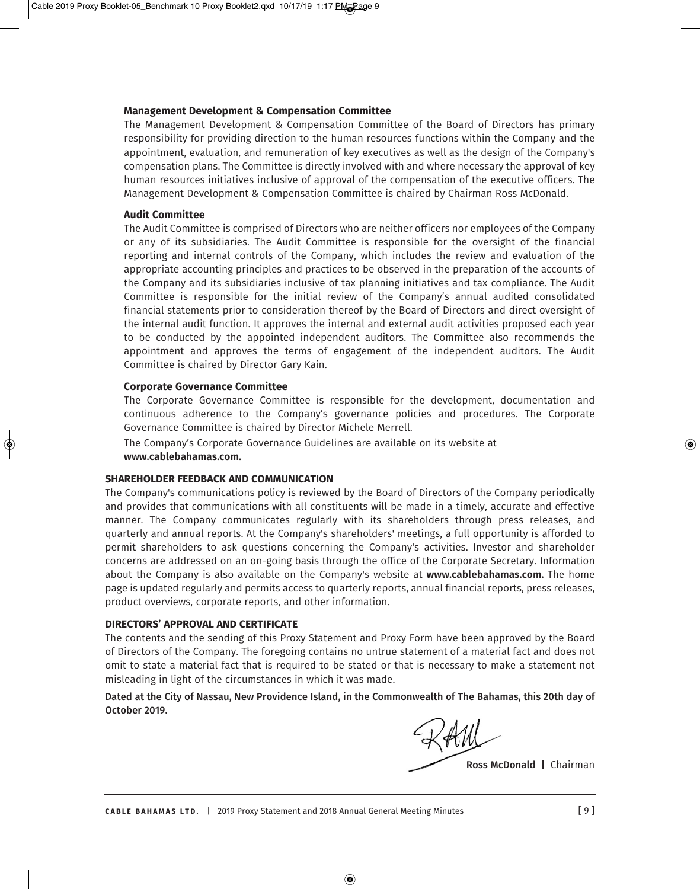#### **Management development & compensation committee**

The Management Development & Compensation Committee of the Board of Directors has primary responsibility for providing direction to the human resources functions within the Company and the appointment, evaluation, and remuneration of key executives as well as the design of the Company's compensation plans. The Committee is directly involved with and where necessary the approval of key human resources initiatives inclusive of approval of the compensation of the executive officers. The Management Development & Compensation Committee is chaired by Chairman Ross McDonald.

#### **audit committee**

The Audit Committee is comprised of Directors who are neither officers nor employees of the Company or any of its subsidiaries. The Audit Committee is responsible for the oversight of the financial reporting and internal controls of the Company, which includes the review and evaluation of the appropriate accounting principles and practices to be observed in the preparation of the accounts of the Company and its subsidiaries inclusive of tax planning initiatives and tax compliance. The Audit Committee is responsible for the initial review of the Company's annual audited consolidated financial statements prior to consideration thereof by the Board of Directors and direct oversight of the internal audit function. It approves the internal and external audit activities proposed each year to be conducted by the appointed independent auditors. The Committee also recommends the appointment and approves the terms of engagement of the independent auditors. The Audit Committee is chaired by Director Gary Kain.

#### **corporate Governance committee**

The Corporate Governance Committee is responsible for the development, documentation and continuous adherence to the Company's governance policies and procedures. The Corporate Governance Committee is chaired by Director Michele Merrell.

The Company's Corporate Governance Guidelines are available on its website at **www.cablebahamas.com.**

## **Shareholder feedBacK aNd coMMUNicatioN**

The Company's communications policy is reviewed by the Board of Directors of the Company periodically and provides that communications with all constituents will be made in a timely, accurate and effective manner. The Company communicates regularly with its shareholders through press releases, and quarterly and annual reports. At the Company's shareholders' meetings, a full opportunity is afforded to permit shareholders to ask questions concerning the Company's activities. Investor and shareholder concerns are addressed on an on-going basis through the office of the Corporate Secretary. Information about the Company is also available on the Company's website at **www.cablebahamas.com.** The home page is updated regularly and permits access to quarterly reports, annual financial reports, press releases, product overviews, corporate reports, and other information.

#### **directorS' aPProVal aNd certificate**

The contents and the sending of this Proxy Statement and Proxy Form have been approved by the Board of Directors of the Company. The foregoing contains no untrue statement of a material fact and does not omit to state a material fact that is required to be stated or that is necessary to make a statement not misleading in light of the circumstances in which it was made.

**Dated at the City of Nassau, New Providence Island, in the Commonwealth of The Bahamas, this 20th day of october 2019.** 

**Ross McDonald |** Chairman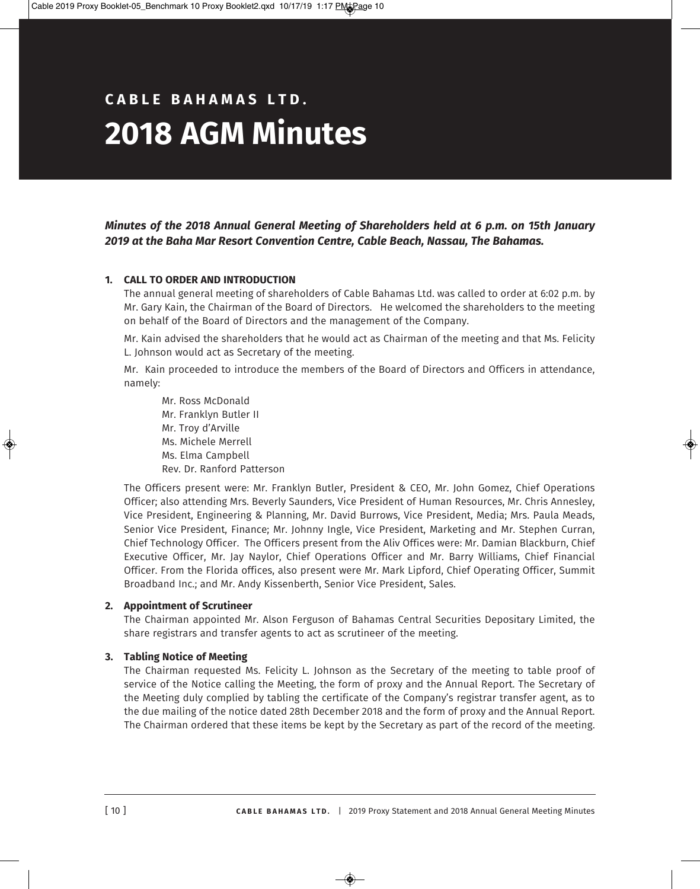# **c a B l e B a h a M a S l t d . 2018 aGM Minutes**

# *Minutes of the 2018 Annual General Meeting of Shareholders held at 6 p.m. on 15th January 2019 at the Baha Mar Resort Convention Centre, Cable Beach, Nassau, The Bahamas.*

# **1. call to order aNd iNtrodUctioN**

The annual general meeting of shareholders of Cable Bahamas Ltd. was called to order at 6:02 p.m. by Mr. Gary Kain, the Chairman of the Board of Directors. He welcomed the shareholders to the meeting on behalf of the Board of Directors and the management of the Company.

Mr. Kain advised the shareholders that he would act as Chairman of the meeting and that Ms. Felicity L. Johnson would act as Secretary of the meeting.

Mr. Kain proceeded to introduce the members of the Board of Directors and Officers in attendance, namely:

Mr. Ross McDonald Mr. Franklyn Butler II Mr. Troy d'Arville Ms. Michele Merrell Ms. Elma Campbell Rev. Dr. Ranford Patterson

The Officers present were: Mr. Franklyn Butler, President & CEO, Mr. John Gomez, Chief Operations Officer; also attending Mrs. Beverly Saunders, Vice President of Human Resources, Mr. Chris Annesley, Vice President, Engineering & Planning, Mr. David Burrows, Vice President, Media; Mrs. Paula Meads, Senior Vice President, Finance; Mr. Johnny Ingle, Vice President, Marketing and Mr. Stephen Curran, Chief Technology Officer. The Officers present from the Aliv Offices were: Mr. Damian Blackburn, Chief Executive Officer, Mr. Jay Naylor, Chief Operations Officer and Mr. Barry Williams, Chief Financial Officer. From the Florida offices, also present were Mr. Mark Lipford, Chief Operating Officer, Summit Broadband Inc.; and Mr. Andy Kissenberth, Senior Vice President, Sales.

# **2. appointment of Scrutineer**

The Chairman appointed Mr. Alson Ferguson of Bahamas Central Securities Depositary Limited, the share registrars and transfer agents to act as scrutineer of the meeting.

# **3. tabling Notice of Meeting**

The Chairman requested Ms. Felicity L. Johnson as the Secretary of the meeting to table proof of service of the Notice calling the Meeting, the form of proxy and the Annual Report. The Secretary of the Meeting duly complied by tabling the certificate of the Company's registrar transfer agent, as to the due mailing of the notice dated 28th December 2018 and the form of proxy and the Annual Report. The Chairman ordered that these items be kept by the Secretary as part of the record of the meeting.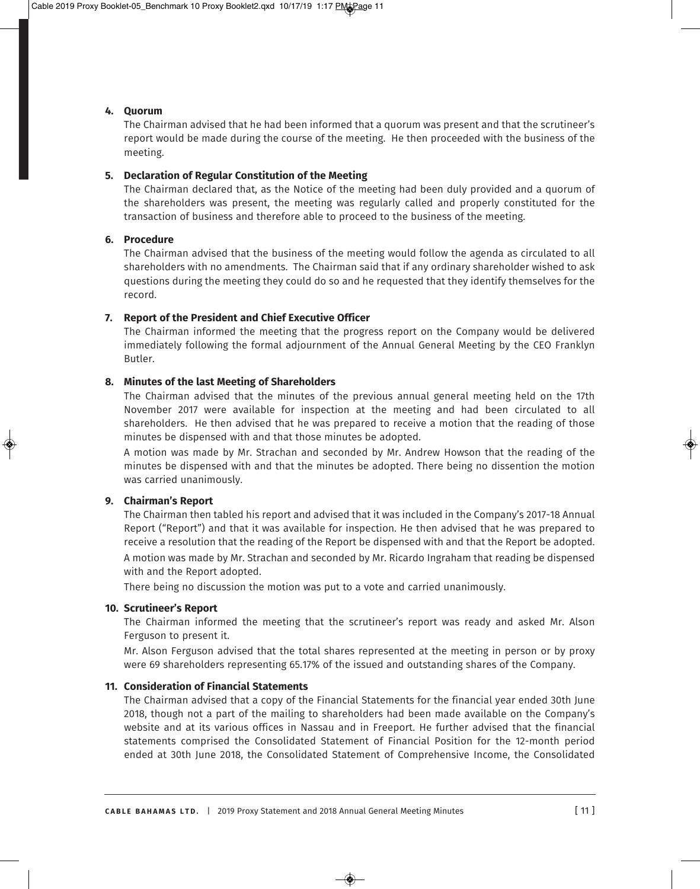# **4. Quorum**

The Chairman advised that he had been informed that a quorum was present and that the scrutineer's report would be made during the course of the meeting. He then proceeded with the business of the meeting.

# **5. Declaration of Regular Constitution of the Meeting**

The Chairman declared that, as the Notice of the meeting had been duly provided and a quorum of the shareholders was present, the meeting was regularly called and properly constituted for the transaction of business and therefore able to proceed to the business of the meeting.

#### **6. Procedure**

The Chairman advised that the business of the meeting would follow the agenda as circulated to all shareholders with no amendments. The Chairman said that if any ordinary shareholder wished to ask questions during the meeting they could do so and he requested that they identify themselves for the record.

# **7. Report of the President and Chief Executive Officer**

The Chairman informed the meeting that the progress report on the Company would be delivered immediately following the formal adjournment of the Annual General Meeting by the CEO Franklyn Butler.

## **8. Minutes of the last Meeting of Shareholders**

The Chairman advised that the minutes of the previous annual general meeting held on the 17th November 2017 were available for inspection at the meeting and had been circulated to all shareholders. He then advised that he was prepared to receive a motion that the reading of those minutes be dispensed with and that those minutes be adopted.

A motion was made by Mr. Strachan and seconded by Mr. Andrew Howson that the reading of the minutes be dispensed with and that the minutes be adopted. There being no dissention the motion was carried unanimously.

#### **9. Chairman's Report**

The Chairman then tabled his report and advised that it was included in the Company's 2017-18 Annual Report ("Report") and that it was available for inspection. He then advised that he was prepared to receive a resolution that the reading of the Report be dispensed with and that the Report be adopted. A motion was made by Mr. Strachan and seconded by Mr. Ricardo Ingraham that reading be dispensed with and the Report adopted.

There being no discussion the motion was put to a vote and carried unanimously.

#### **10. Scrutineer's Report**

The Chairman informed the meeting that the scrutineer's report was ready and asked Mr. Alson Ferguson to present it.

Mr. Alson Ferguson advised that the total shares represented at the meeting in person or by proxy were 69 shareholders representing 65.17% of the issued and outstanding shares of the Company.

## **11. consideration of financial Statements**

The Chairman advised that a copy of the Financial Statements for the financial year ended 30th June 2018, though not a part of the mailing to shareholders had been made available on the Company's website and at its various offices in Nassau and in Freeport. He further advised that the financial statements comprised the Consolidated Statement of Financial Position for the 12-month period ended at 30th June 2018, the Consolidated Statement of Comprehensive Income, the Consolidated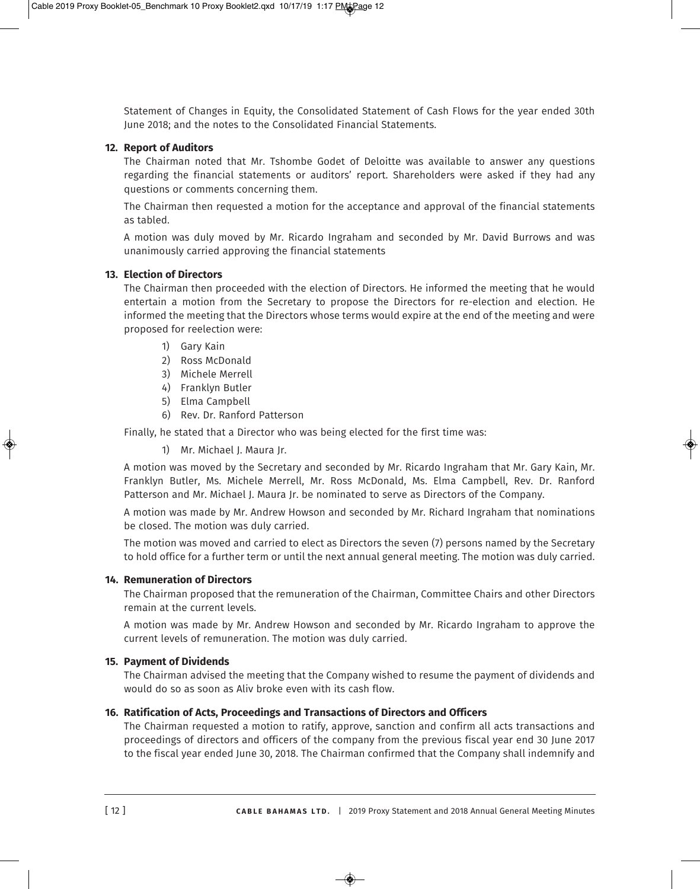Statement of Changes in Equity, the Consolidated Statement of Cash Flows for the year ended 30th June 2018; and the notes to the Consolidated Financial Statements.

# **12. Report of Auditors**

The Chairman noted that Mr. Tshombe Godet of Deloitte was available to answer any questions regarding the financial statements or auditors' report. Shareholders were asked if they had any questions or comments concerning them.

The Chairman then requested a motion for the acceptance and approval of the financial statements as tabled.

A motion was duly moved by Mr. Ricardo Ingraham and seconded by Mr. David Burrows and was unanimously carried approving the financial statements

# **13. election of directors**

The Chairman then proceeded with the election of Directors. He informed the meeting that he would entertain a motion from the Secretary to propose the Directors for re-election and election. He informed the meeting that the Directors whose terms would expire at the end of the meeting and were proposed for reelection were:

- 1) Gary Kain
- 2) Ross McDonald
- 3) Michele Merrell
- 4) Franklyn Butler
- 5) Elma Campbell
- 6) Rev. Dr. Ranford Patterson

Finally, he stated that a Director who was being elected for the first time was:

1) Mr. Michael J. Maura Jr.

A motion was moved by the Secretary and seconded by Mr. Ricardo Ingraham that Mr. Gary Kain, Mr. Franklyn Butler, Ms. Michele Merrell, Mr. Ross McDonald, Ms. Elma Campbell, Rev. Dr. Ranford Patterson and Mr. Michael J. Maura Jr. be nominated to serve as Directors of the Company.

A motion was made by Mr. Andrew Howson and seconded by Mr. Richard Ingraham that nominations be closed. The motion was duly carried.

The motion was moved and carried to elect as Directors the seven (7) persons named by the Secretary to hold office for a further term or until the next annual general meeting. The motion was duly carried.

#### **14. Remuneration of Directors**

The Chairman proposed that the remuneration of the Chairman, Committee Chairs and other Directors remain at the current levels.

A motion was made by Mr. Andrew Howson and seconded by Mr. Ricardo Ingraham to approve the current levels of remuneration. The motion was duly carried.

# **15. Payment of Dividends**

The Chairman advised the meeting that the Company wished to resume the payment of dividends and would do so as soon as Aliv broke even with its cash flow.

# **16. ratification of acts, Proceedings and transactions of directors and officers**

The Chairman requested a motion to ratify, approve, sanction and confirm all acts transactions and proceedings of directors and officers of the company from the previous fiscal year end 30 June 2017 to the fiscal year ended June 30, 2018. The Chairman confirmed that the Company shall indemnify and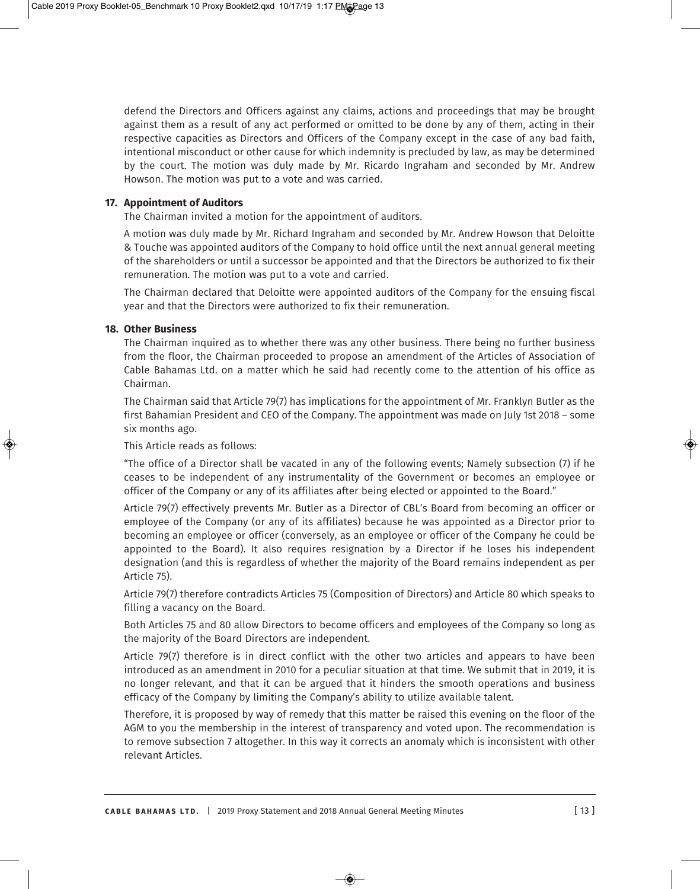defend the Directors and Officers against any claims, actions and proceedings that may be brought against them as a result of any act performed or omitted to be done by any of them, acting in their respective capacities as Directors and Officers of the Company except in the case of any bad faith, intentional misconduct or other cause for which indemnity is precluded by law, as may be determined by the court. The motion was duly made by Mr. Ricardo Ingraham and seconded by Mr. Andrew Howson. The motion was put to a vote and was carried.

#### **17. appointment of auditors**

The Chairman invited a motion for the appointment of auditors.

A motion was duly made by Mr. Richard Ingraham and seconded by Mr. Andrew Howson that Deloitte & Touche was appointed auditors of the Company to hold office until the next annual general meeting of the shareholders or until a successor be appointed and that the Directors be authorized to fix their remuneration. The motion was put to a vote and carried.

The Chairman declared that Deloitte were appointed auditors of the Company for the ensuing fiscal year and that the Directors were authorized to fix their remuneration.

# **18. other Business**

The Chairman inquired as to whether there was any other business. There being no further business from the floor, the Chairman proceeded to propose an amendment of the Articles of Association of Cable Bahamas Ltd. on a matter which he said had recently come to the attention of his office as Chairman.

The Chairman said that Article 79(7) has implications for the appointment of Mr. Franklyn Butler as the first Bahamian President and CEO of the Company. The appointment was made on July 1st 2018 – some six months ago.

This Article reads as follows:

"The office of a Director shall be vacated in any of the following events; Namely subsection (7) if he ceases to be independent of any instrumentality of the Government or becomes an employee or officer of the Company or any of its affiliates after being elected or appointed to the Board."

Article 79(7) effectively prevents Mr. Butler as a Director of CBL's Board from becoming an officer or employee of the Company (or any of its affiliates) because he was appointed as a Director prior to becoming an employee or officer (conversely, as an employee or officer of the Company he could be appointed to the Board). It also requires resignation by a Director if he loses his independent designation (and this is regardless of whether the majority of the Board remains independent as per Article 75).

Article 79(7) therefore contradicts Articles 75 (Composition of Directors) and Article 80 which speaks to filling a vacancy on the Board.

Both Articles 75 and 80 allow Directors to become officers and employees of the Company so long as the majority of the Board Directors are independent.

Article 79(7) therefore is in direct conflict with the other two articles and appears to have been introduced as an amendment in 2010 for a peculiar situation at that time. We submit that in 2019, it is no longer relevant, and that it can be argued that it hinders the smooth operations and business efficacy of the Company by limiting the Company's ability to utilize available talent.

Therefore, it is proposed by way of remedy that this matter be raised this evening on the floor of the AGM to you the membership in the interest of transparency and voted upon. The recommendation is to remove subsection 7 altogether. In this way it corrects an anomaly which is inconsistent with other relevant Articles.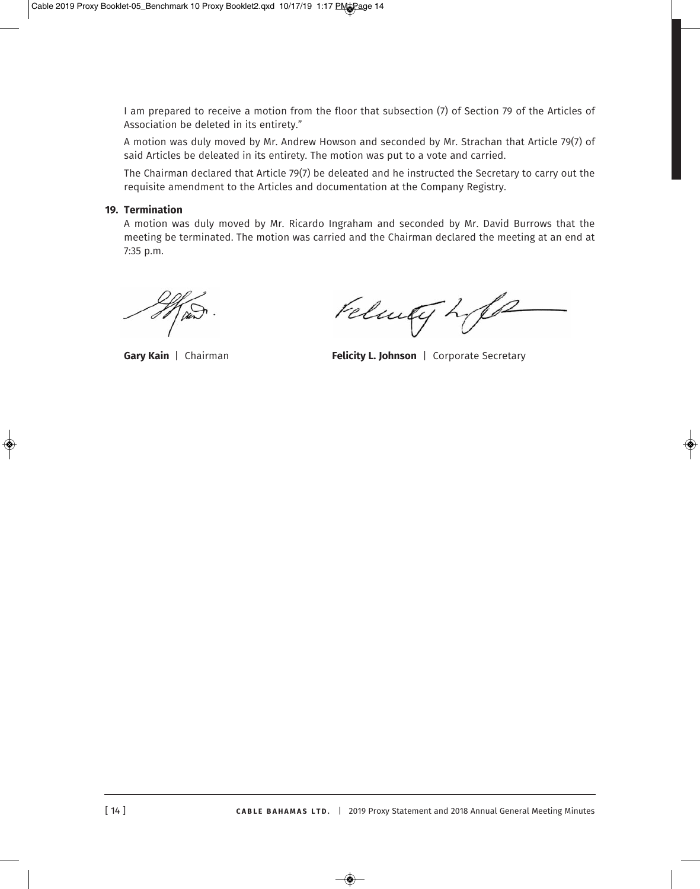I am prepared to receive a motion from the floor that subsection (7) of Section 79 of the Articles of Association be deleted in its entirety."

A motion was duly moved by Mr. Andrew Howson and seconded by Mr. Strachan that Article 79(7) of said Articles be deleated in its entirety. The motion was put to a vote and carried.

The Chairman declared that Article 79(7) be deleated and he instructed the Secretary to carry out the requisite amendment to the Articles and documentation at the Company Registry.

# **19. termination**

A motion was duly moved by Mr. Ricardo Ingraham and seconded by Mr. David Burrows that the meeting be terminated. The motion was carried and the Chairman declared the meeting at an end at 7:35 p.m.

Felmey Life

**Gary Kain** | Chairman **felicity L. Johnson** | Corporate Secretary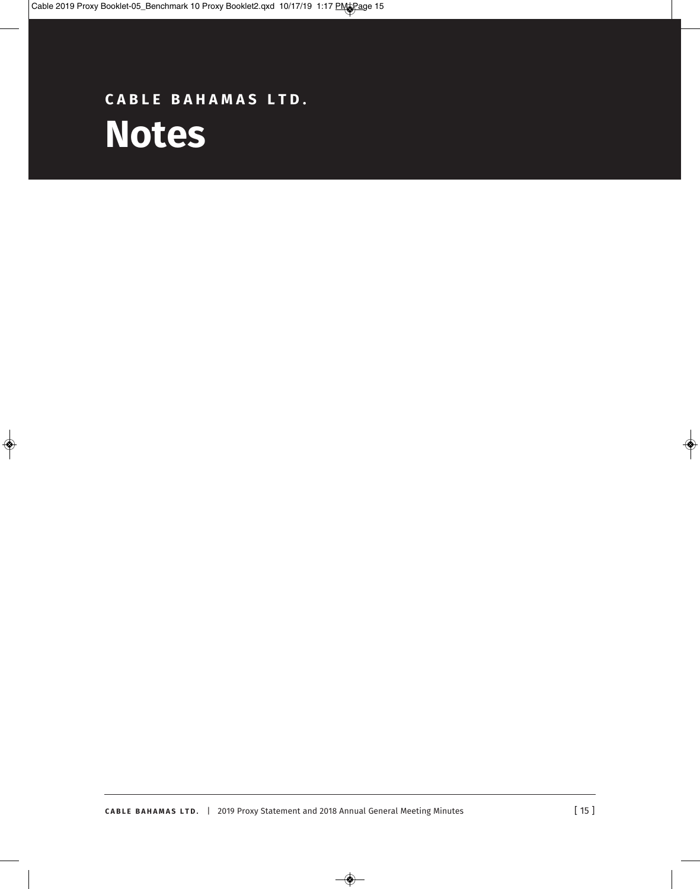# **c a B l e B a h a M a S l t d . Notes**